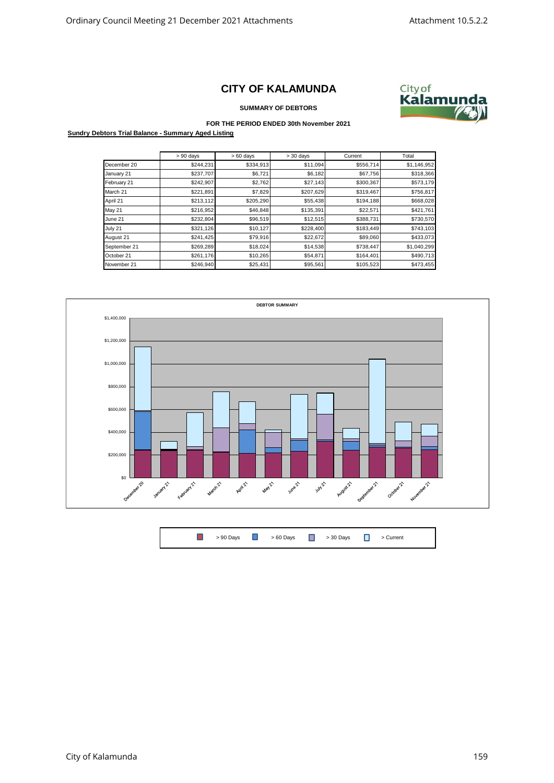## **CITY OF KALAMUNDA**



**SUMMARY OF DEBTORS**

## **FOR THE PERIOD ENDED 30th November 2021**

**Sundry Debtors Trial Balance - Summary Aged Listing**

|               | $> 90$ days | $>60$ days | $> 30$ days | Current   | Total       |
|---------------|-------------|------------|-------------|-----------|-------------|
| December 20   | \$244,231   | \$334,913  | \$11,094    | \$556,714 | \$1,146,952 |
| January 21    | \$237,707   | \$6,721    | \$6,182     | \$67,756  | \$318,366   |
| February 21   | \$242,907   | \$2,762    | \$27,143    | \$300,367 | \$573,179   |
| March 21      | \$221,891   | \$7,829    | \$207,629   | \$319,467 | \$756,817   |
| April 21      | \$213,112   | \$205,290  | \$55,438    | \$194,188 | \$668,028   |
| <b>May 21</b> | \$216,952   | \$46,848   | \$135,391   | \$22,571  | \$421,761   |
| June 21       | \$232,804   | \$96,519   | \$12,515    | \$388,731 | \$730,570   |
| July 21       | \$321,126   | \$10,127   | \$228,400   | \$183,449 | \$743,103   |
| August 21     | \$241,425   | \$79,916   | \$22,672    | \$89,060  | \$433,073   |
| September 21  | \$269,289   | \$18,024   | \$14,538    | \$738,447 | \$1,040,299 |
| October 21    | \$261,176   | \$10,265   | \$54,871    | \$164,401 | \$490,713   |
| November 21   | \$246,940   | \$25,431   | \$95,561    | \$105,523 | \$473,455   |



 $\Box$ > 90 Days **D** > 60 Days **D** > 30 Days **D** > Current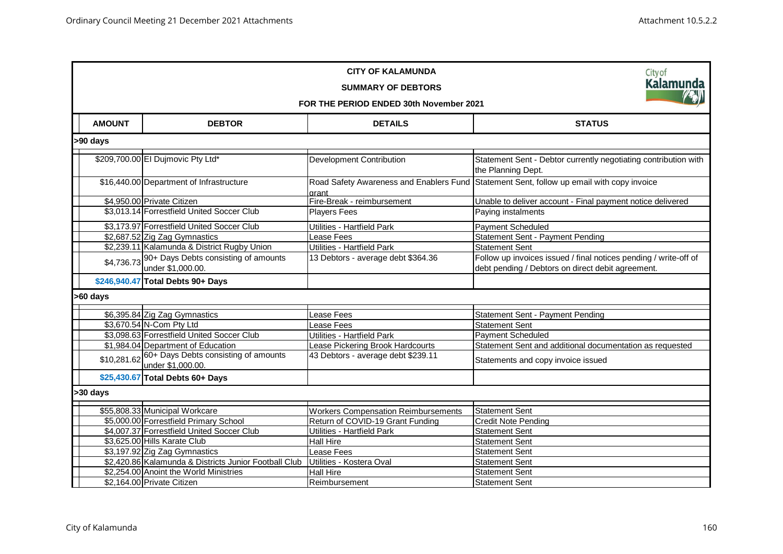| <b>CITY OF KALAMUNDA</b><br>Cityof                     |                                               |                                                           |                                            |                                                                                                                       |  |  |  |  |  |
|--------------------------------------------------------|-----------------------------------------------|-----------------------------------------------------------|--------------------------------------------|-----------------------------------------------------------------------------------------------------------------------|--|--|--|--|--|
|                                                        | <b>Kalamunda</b><br><b>SUMMARY OF DEBTORS</b> |                                                           |                                            |                                                                                                                       |  |  |  |  |  |
| <b>RAND</b><br>FOR THE PERIOD ENDED 30th November 2021 |                                               |                                                           |                                            |                                                                                                                       |  |  |  |  |  |
|                                                        | <b>AMOUNT</b>                                 | <b>DEBTOR</b>                                             | <b>DETAILS</b>                             | <b>STATUS</b>                                                                                                         |  |  |  |  |  |
|                                                        | >90 days                                      |                                                           |                                            |                                                                                                                       |  |  |  |  |  |
|                                                        |                                               | \$209,700.00 El Dujmovic Pty Ltd*                         | <b>Development Contribution</b>            | Statement Sent - Debtor currently negotiating contribution with<br>the Planning Dept.                                 |  |  |  |  |  |
|                                                        |                                               | \$16,440.00 Department of Infrastructure                  | drant                                      | Road Safety Awareness and Enablers Fund Statement Sent, follow up email with copy invoice                             |  |  |  |  |  |
|                                                        |                                               | \$4,950.00 Private Citizen                                | Fire-Break - reimbursement                 | Unable to deliver account - Final payment notice delivered                                                            |  |  |  |  |  |
|                                                        |                                               | \$3,013.14 Forrestfield United Soccer Club                | <b>Players Fees</b>                        | Paying instalments                                                                                                    |  |  |  |  |  |
|                                                        |                                               | \$3,173.97 Forrestfield United Soccer Club                | Utilities - Hartfield Park                 | Payment Scheduled                                                                                                     |  |  |  |  |  |
|                                                        |                                               | \$2,687.52 Zig Zag Gymnastics                             | Lease Fees                                 | Statement Sent - Payment Pending                                                                                      |  |  |  |  |  |
|                                                        |                                               | \$2,239.11 Kalamunda & District Rugby Union               | Utilities - Hartfield Park                 | <b>Statement Sent</b>                                                                                                 |  |  |  |  |  |
|                                                        | \$4,736.73                                    | 90+ Days Debts consisting of amounts<br>under \$1,000.00. | 13 Debtors - average debt \$364.36         | Follow up invoices issued / final notices pending / write-off of<br>debt pending / Debtors on direct debit agreement. |  |  |  |  |  |
|                                                        |                                               | \$246,940.47 Total Debts 90+ Days                         |                                            |                                                                                                                       |  |  |  |  |  |
|                                                        | >60 days                                      |                                                           |                                            |                                                                                                                       |  |  |  |  |  |
|                                                        |                                               | \$6,395.84 Zig Zag Gymnastics                             | Lease Fees                                 | Statement Sent - Payment Pending                                                                                      |  |  |  |  |  |
|                                                        |                                               | \$3,670.54 N-Com Pty Ltd                                  | Lease Fees                                 | <b>Statement Sent</b>                                                                                                 |  |  |  |  |  |
|                                                        |                                               | \$3,098.63 Forrestfield United Soccer Club                | Utilities - Hartfield Park                 | <b>Payment Scheduled</b>                                                                                              |  |  |  |  |  |
|                                                        |                                               | \$1,984.04 Department of Education                        | Lease Pickering Brook Hardcourts           | Statement Sent and additional documentation as requested                                                              |  |  |  |  |  |
|                                                        | \$10,281.62                                   | 60+ Days Debts consisting of amounts<br>under \$1,000.00. | 43 Debtors - average debt \$239.11         | Statements and copy invoice issued                                                                                    |  |  |  |  |  |
|                                                        |                                               | \$25,430.67 Total Debts 60+ Days                          |                                            |                                                                                                                       |  |  |  |  |  |
|                                                        | >30 days                                      |                                                           |                                            |                                                                                                                       |  |  |  |  |  |
|                                                        |                                               | \$55,808.33 Municipal Workcare                            | <b>Workers Compensation Reimbursements</b> | <b>Statement Sent</b>                                                                                                 |  |  |  |  |  |
|                                                        |                                               | \$5,000.00 Forrestfield Primary School                    | Return of COVID-19 Grant Funding           | <b>Credit Note Pending</b>                                                                                            |  |  |  |  |  |
|                                                        |                                               | \$4,007.37 Forrestfield United Soccer Club                | Utilities - Hartfield Park                 | <b>Statement Sent</b>                                                                                                 |  |  |  |  |  |
|                                                        |                                               | \$3,625.00 Hills Karate Club                              | <b>Hall Hire</b>                           | <b>Statement Sent</b>                                                                                                 |  |  |  |  |  |
|                                                        |                                               | \$3,197.92 Zig Zag Gymnastics                             | Lease Fees                                 | <b>Statement Sent</b>                                                                                                 |  |  |  |  |  |
|                                                        |                                               | \$2,420.86 Kalamunda & Districts Junior Football Club     | Utilities - Kostera Oval                   | Statement Sent                                                                                                        |  |  |  |  |  |
|                                                        |                                               | \$2,254.00 Anoint the World Ministries                    | <b>Hall Hire</b>                           | <b>Statement Sent</b>                                                                                                 |  |  |  |  |  |
|                                                        |                                               | \$2,164.00 Private Citizen                                | Reimbursement                              | <b>Statement Sent</b>                                                                                                 |  |  |  |  |  |